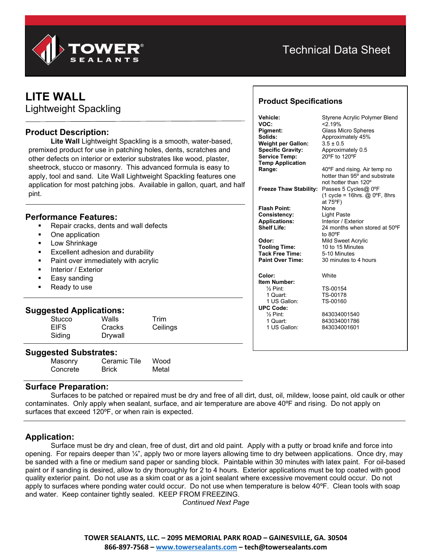

# Technical Data Sheet

**Product Specifications**

**Item Number:**

1 US Gallon: **UPC Code:**

# **LITE WALL**

Lightweight Spackling

### **Product Description:**

**Lite Wall** Lightweight Spackling is a smooth, water-based, premixed product for use in patching holes, dents, scratches and other defects on interior or exterior substrates like wood, plaster, sheetrock, stucco or masonry. This advanced formula is easy to apply, tool and sand. Lite Wall Lightweight Spackling features one application for most patching jobs. Available in gallon, quart, and half pint.

#### **Performance Features:**

- Repair cracks, dents and wall defects
- One application
- **Low Shrinkage**
- Excellent adhesion and durability
- Paint over immediately with acrylic
- Interior / Exterior
- Easy sanding
- Ready to use

#### **Suggested Applications:**

| .<br>.<br>Stucco | Walls   | Trim     |  |
|------------------|---------|----------|--|
| <b>EIFS</b>      | Cracks  | Ceilings |  |
| Siding           | Drywall |          |  |
|                  |         |          |  |

#### **Suggested Substrates:**

| --<br>Masonry | Ceramic Tile | Wood  |
|---------------|--------------|-------|
| Concrete      | Brick        | Metal |

#### **Surface Preparation:**

Surfaces to be patched or repaired must be dry and free of all dirt, dust, oil, mildew, loose paint, old caulk or other contaminates. Only apply when sealant, surface, and air temperature are above 40ºF and rising. Do not apply on surfaces that exceed 120ºF, or when rain is expected.

### **Application:**

Surface must be dry and clean, free of dust, dirt and old paint. Apply with a putty or broad knife and force into opening. For repairs deeper than 1/4", apply two or more layers allowing time to dry between applications. Once dry, may be sanded with a fine or medium sand paper or sanding block. Paintable within 30 minutes with latex paint. For oil-based paint or if sanding is desired, allow to dry thoroughly for 2 to 4 hours. Exterior applications must be top coated with good quality exterior paint. Do not use as a skim coat or as a joint sealant where excessive movement could occur. Do not apply to surfaces where ponding water could occur. Do not use when temperature is below 40ºF. Clean tools with soap and water. Keep container tightly sealed. KEEP FROM FREEZING.

*Continued Next Page*

## **TOWER SEALANTS, LLC. – 2095 MEMORIAL PARK ROAD – GAINESVILLE, GA. 30504 866-897-7568 – [www.towersealants.com](http://www.towersealants.com/) – tech@towersealants.com**

| Vehicle:                      | Styrene Acrylic Polymer Blend            |
|-------------------------------|------------------------------------------|
| VOC:                          | $<$ 2 19%                                |
| Pigment:                      | <b>Glass Micro Spheres</b>               |
| Solids:                       | Approximately 45%                        |
| <b>Weight per Gallon:</b>     | $3.5 \pm 0.5$                            |
| <b>Specific Gravity:</b>      | Approximately 0.5                        |
| <b>Service Temp:</b>          | 20°F to 120°F                            |
| <b>Temp Application</b>       |                                          |
| Range:                        | 40°F and rising. Air temp no             |
|                               | hotter than 95° and substrate            |
|                               | not hotter than 120°                     |
| <b>Freeze Thaw Stability:</b> | Passes 5 Cycles@ 0°F                     |
|                               | $(1 \text{ cycle} = 16$ hrs. @ 0°F, 8hrs |
|                               | at 75°F)                                 |
| Flash Point:                  | None                                     |
| <b>Consistency:</b>           | <b>Light Paste</b>                       |
| <b>Applications:</b>          | Interior / Exterior                      |
| <b>Shelf Life:</b>            | 24 months when stored at 50°F            |
|                               | to 80°F                                  |
|                               |                                          |
| Odor:                         | <b>Mild Sweet Acrylic</b>                |
| <b>Tooling Time:</b>          | 10 to 15 Minutes                         |
| <b>Tack Free Time:</b>        | 5-10 Minutes                             |
| <b>Paint Over Time:</b>       | 30 minutes to 4 hours                    |
| Color:                        | White                                    |

# ½ Pint: TS-00154 1 Quart: TS-00178<br>1 US Gallon: TS-00160

843034001540 1 Quart: 843034001786 843034001601